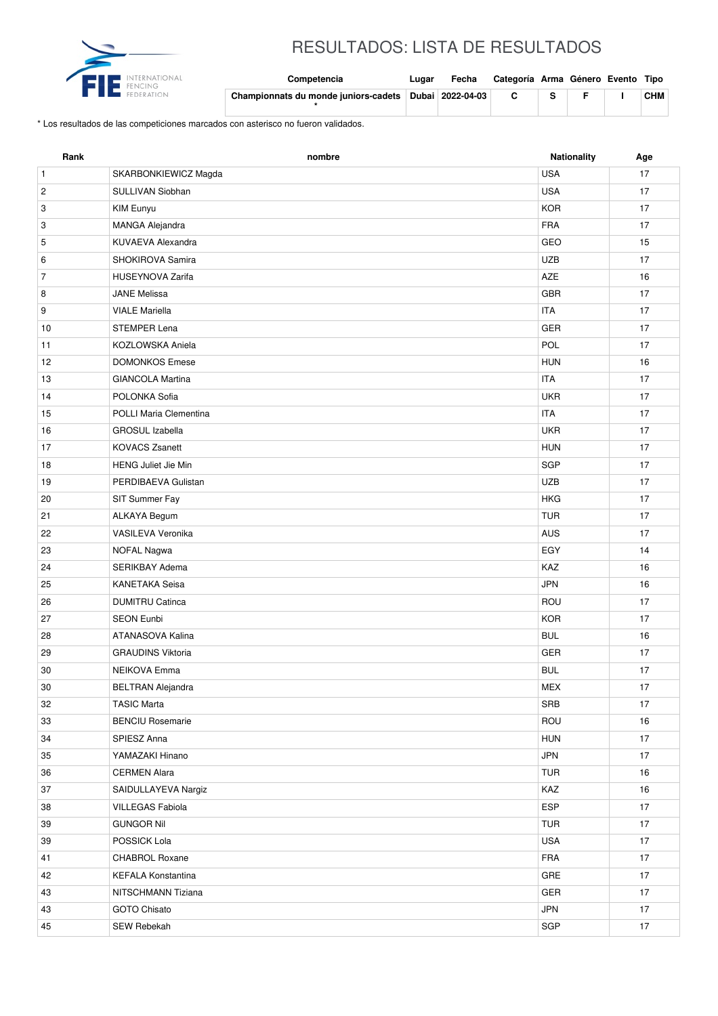

## RESULTADOS: LISTA DE RESULTADOS

| nternational | Competencia                          | Lugar | Fecha            | Categoría Arma Género Evento Tipo |  |            |
|--------------|--------------------------------------|-------|------------------|-----------------------------------|--|------------|
|              | Championnats du monde juniors-cadets |       | Dubai 2022-04-03 |                                   |  | <b>CHM</b> |

\* Los resultados de las competiciones marcados con asterisco no fueron validados.

| Rank                    | nombre                     | Nationality | Age    |
|-------------------------|----------------------------|-------------|--------|
| $\mathbf{1}$            | SKARBONKIEWICZ Magda       | <b>USA</b>  | 17     |
| $\overline{\mathbf{c}}$ | SULLIVAN Siobhan           | <b>USA</b>  | 17     |
| 3                       | KIM Eunyu                  | <b>KOR</b>  | 17     |
| 3                       | MANGA Alejandra            | <b>FRA</b>  | 17     |
| 5                       | KUVAEVA Alexandra          | GEO         | 15     |
| 6                       | SHOKIROVA Samira           | <b>UZB</b>  | 17     |
| $\overline{7}$          | <b>HUSEYNOVA Zarifa</b>    | AZE         | 16     |
| 8                       | <b>JANE Melissa</b>        | <b>GBR</b>  | 17     |
| 9                       | <b>VIALE Mariella</b>      | <b>ITA</b>  | 17     |
| 10                      | STEMPER Lena               | GER         | 17     |
| 11                      | KOZLOWSKA Aniela           | POL         | 17     |
| 12                      | <b>DOMONKOS Emese</b>      | <b>HUN</b>  | 16     |
| 13                      | <b>GIANCOLA Martina</b>    | <b>ITA</b>  | 17     |
| 14                      | POLONKA Sofia              | <b>UKR</b>  | 17     |
| 15                      | POLLI Maria Clementina     | <b>ITA</b>  | 17     |
| 16                      | <b>GROSUL Izabella</b>     | <b>UKR</b>  | 17     |
| 17                      | <b>KOVACS Zsanett</b>      | <b>HUN</b>  | 17     |
| 18                      | <b>HENG Juliet Jie Min</b> | SGP         | 17     |
| 19                      | PERDIBAEVA Gulistan        | <b>UZB</b>  | 17     |
| 20                      | SIT Summer Fay             | <b>HKG</b>  | 17     |
| 21                      | ALKAYA Begum               | <b>TUR</b>  | 17     |
| 22                      | VASILEVA Veronika          | <b>AUS</b>  | 17     |
| 23                      | <b>NOFAL Nagwa</b>         | EGY         | 14     |
| 24                      | SERIKBAY Adema             | KAZ         | 16     |
| 25                      | <b>KANETAKA Seisa</b>      | <b>JPN</b>  | 16     |
| 26                      | <b>DUMITRU Catinca</b>     | ROU         | 17     |
| 27                      | <b>SEON Eunbi</b>          | <b>KOR</b>  | 17     |
| 28                      | ATANASOVA Kalina           | <b>BUL</b>  | 16     |
| 29                      | <b>GRAUDINS Viktoria</b>   | GER         | 17     |
| 30                      | <b>NEIKOVA Emma</b>        | <b>BUL</b>  | 17     |
| $30\,$                  | <b>BELTRAN Alejandra</b>   | MEX         | $17\,$ |
| 32                      | <b>TASIC Marta</b>         | SRB         | 17     |
| 33                      | <b>BENCIU Rosemarie</b>    | ROU         | 16     |
| 34                      | SPIESZ Anna                | <b>HUN</b>  | 17     |
| 35                      | YAMAZAKI Hinano            | JPN         | 17     |
| 36                      | <b>CERMEN Alara</b>        | <b>TUR</b>  | 16     |
| 37                      | SAIDULLAYEVA Nargiz        | KAZ         | 16     |
| 38                      | <b>VILLEGAS Fabiola</b>    | <b>ESP</b>  | 17     |
| 39                      | <b>GUNGOR Nil</b>          | <b>TUR</b>  | 17     |
| 39                      | POSSICK Lola               | USA         | 17     |
| 41                      | <b>CHABROL Roxane</b>      | <b>FRA</b>  | 17     |
| 42                      | KEFALA Konstantina         | GRE         | 17     |
| 43                      | NITSCHMANN Tiziana         | GER         | 17     |
| 43                      | GOTO Chisato               | JPN         | 17     |
| 45                      | SEW Rebekah                | SGP         | 17     |